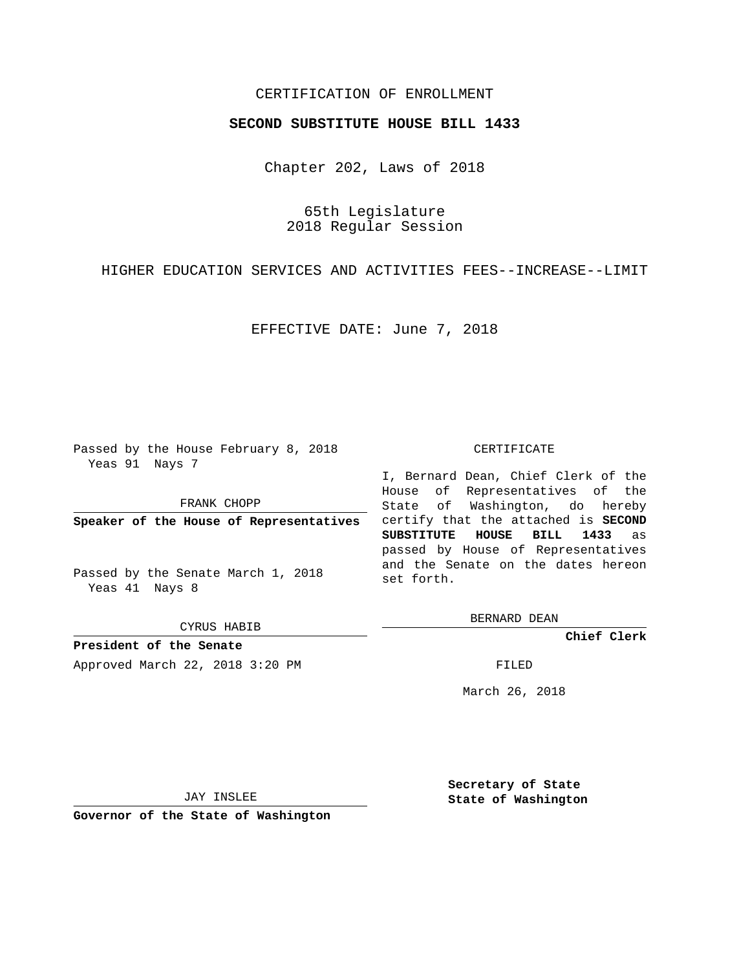## CERTIFICATION OF ENROLLMENT

## **SECOND SUBSTITUTE HOUSE BILL 1433**

Chapter 202, Laws of 2018

65th Legislature 2018 Regular Session

HIGHER EDUCATION SERVICES AND ACTIVITIES FEES--INCREASE--LIMIT

EFFECTIVE DATE: June 7, 2018

Passed by the House February 8, 2018 Yeas 91 Nays 7

FRANK CHOPP

**Speaker of the House of Representatives**

Passed by the Senate March 1, 2018 Yeas 41 Nays 8

CYRUS HABIB

**President of the Senate** Approved March 22, 2018 3:20 PM FILED

## CERTIFICATE

I, Bernard Dean, Chief Clerk of the House of Representatives of the State of Washington, do hereby certify that the attached is **SECOND SUBSTITUTE HOUSE BILL 1433** as passed by House of Representatives and the Senate on the dates hereon set forth.

BERNARD DEAN

**Chief Clerk**

March 26, 2018

JAY INSLEE

**Governor of the State of Washington**

**Secretary of State State of Washington**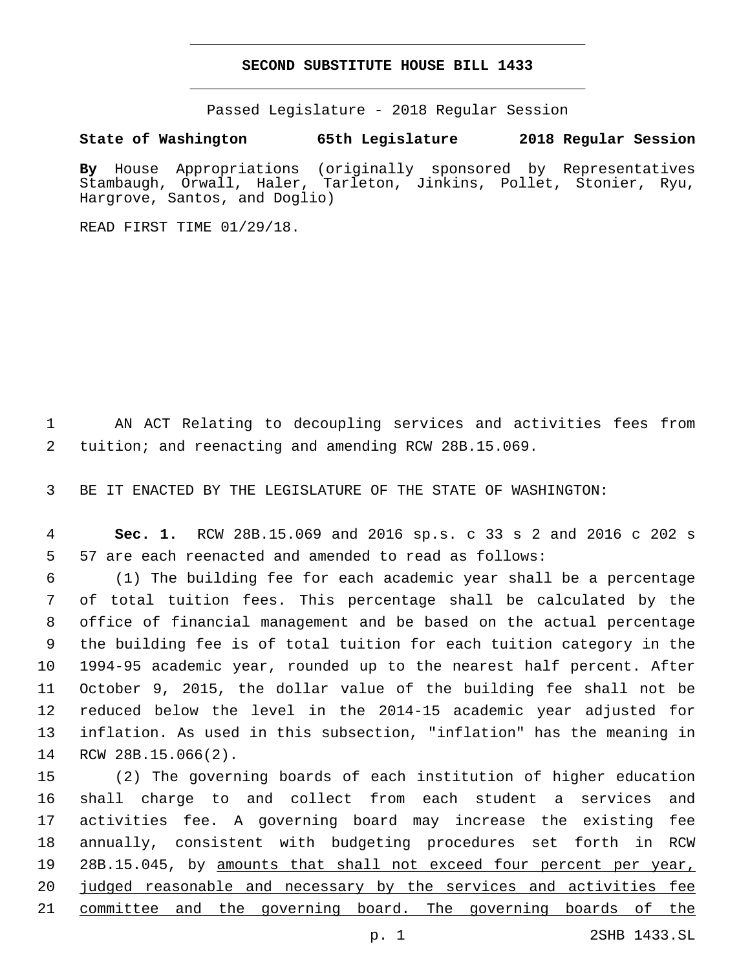## **SECOND SUBSTITUTE HOUSE BILL 1433**

Passed Legislature - 2018 Regular Session

**State of Washington 65th Legislature 2018 Regular Session**

**By** House Appropriations (originally sponsored by Representatives Stambaugh, Orwall, Haler, Tarleton, Jinkins, Pollet, Stonier, Ryu, Hargrove, Santos, and Doglio)

READ FIRST TIME 01/29/18.

 AN ACT Relating to decoupling services and activities fees from tuition; and reenacting and amending RCW 28B.15.069.

BE IT ENACTED BY THE LEGISLATURE OF THE STATE OF WASHINGTON:

 **Sec. 1.** RCW 28B.15.069 and 2016 sp.s. c 33 s 2 and 2016 c 202 s 57 are each reenacted and amended to read as follows:

 (1) The building fee for each academic year shall be a percentage of total tuition fees. This percentage shall be calculated by the office of financial management and be based on the actual percentage the building fee is of total tuition for each tuition category in the 1994-95 academic year, rounded up to the nearest half percent. After October 9, 2015, the dollar value of the building fee shall not be reduced below the level in the 2014-15 academic year adjusted for inflation. As used in this subsection, "inflation" has the meaning in 14 RCW 28B.15.066(2).

 (2) The governing boards of each institution of higher education shall charge to and collect from each student a services and activities fee. A governing board may increase the existing fee annually, consistent with budgeting procedures set forth in RCW 28B.15.045, by amounts that shall not exceed four percent per year, 20 judged reasonable and necessary by the services and activities fee 21 committee and the governing board. The governing boards of the